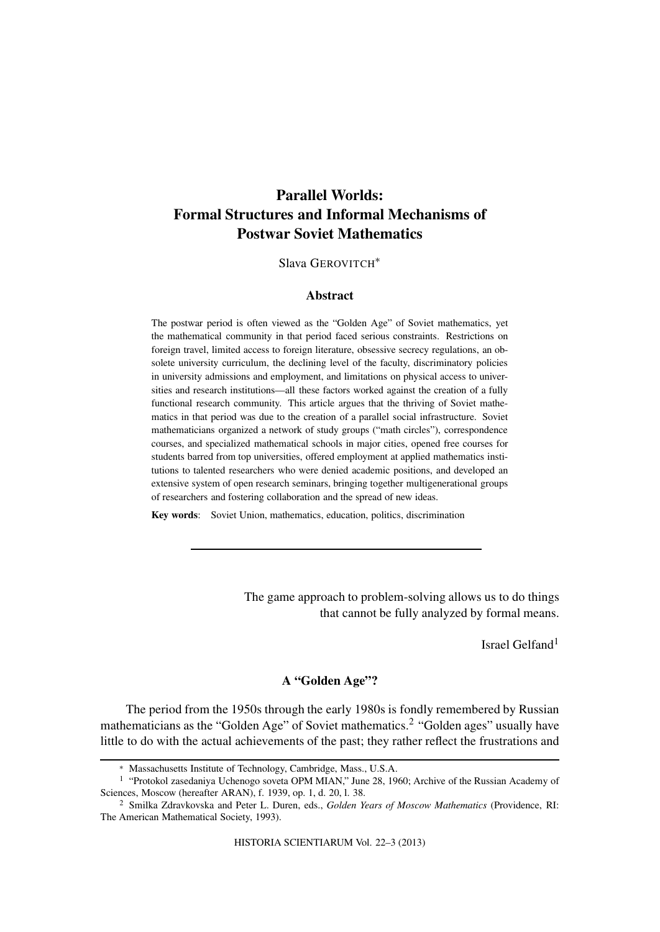# **Parallel Worlds: Formal Structures and Informal Mechanisms of Postwar Soviet Mathematics**

# Slava GEROVITCH∗

## **Abstract**

The postwar period is often viewed as the "Golden Age" of Soviet mathematics, yet the mathematical community in that period faced serious constraints. Restrictions on foreign travel, limited access to foreign literature, obsessive secrecy regulations, an obsolete university curriculum, the declining level of the faculty, discriminatory policies in university admissions and employment, and limitations on physical access to universities and research institutions—all these factors worked against the creation of a fully functional research community. This article argues that the thriving of Soviet mathematics in that period was due to the creation of a parallel social infrastructure. Soviet mathematicians organized a network of study groups ("math circles"), correspondence courses, and specialized mathematical schools in major cities, opened free courses for students barred from top universities, offered employment at applied mathematics institutions to talented researchers who were denied academic positions, and developed an extensive system of open research seminars, bringing together multigenerational groups of researchers and fostering collaboration and the spread of new ideas.

**Key words**: Soviet Union, mathematics, education, politics, discrimination

The game approach to problem-solving allows us to do things that cannot be fully analyzed by formal means.

Israel Gelfand<sup>1</sup>

# **A "Golden Age"?**

The period from the 1950s through the early 1980s is fondly remembered by Russian mathematicians as the "Golden Age" of Soviet mathematics.<sup>2</sup> "Golden ages" usually have little to do with the actual achievements of the past; they rather reflect the frustrations and

HISTORIA SCIENTIARUM Vol. 22–3 (2013)

<sup>∗</sup> Massachusetts Institute of Technology, Cambridge, Mass., U.S.A.

<sup>1</sup> "Protokol zasedaniya Uchenogo soveta OPM MIAN," June 28, 1960; Archive of the Russian Academy of Sciences, Moscow (hereafter ARAN), f. 1939, op. 1, d. 20, l. 38.

<sup>2</sup> Smilka Zdravkovska and Peter L. Duren, eds., *Golden Years of Moscow Mathematics* (Providence, RI: The American Mathematical Society, 1993).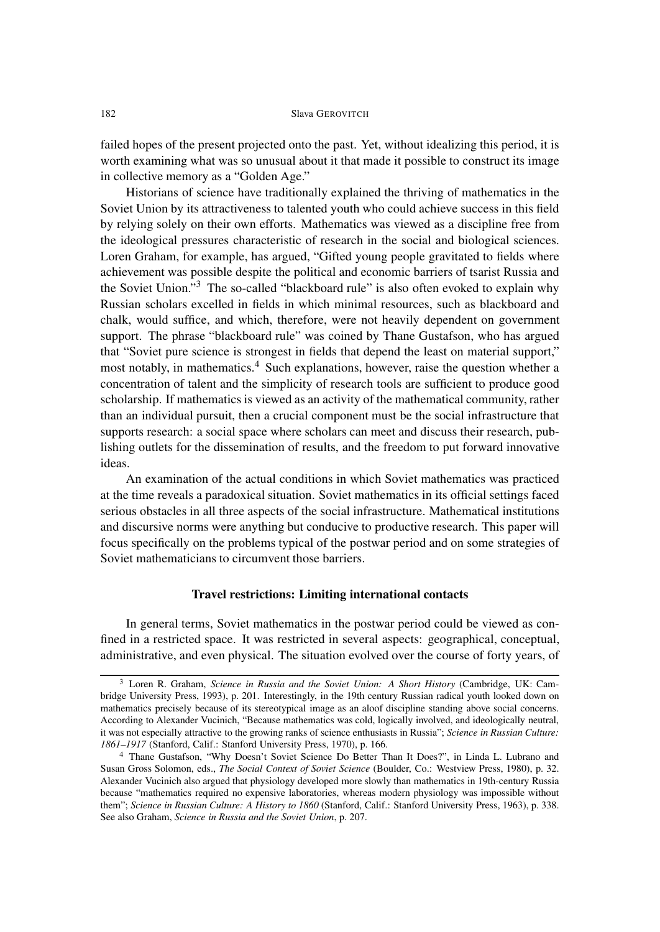failed hopes of the present projected onto the past. Yet, without idealizing this period, it is worth examining what was so unusual about it that made it possible to construct its image in collective memory as a "Golden Age."

Historians of science have traditionally explained the thriving of mathematics in the Soviet Union by its attractiveness to talented youth who could achieve success in this field by relying solely on their own efforts. Mathematics was viewed as a discipline free from the ideological pressures characteristic of research in the social and biological sciences. Loren Graham, for example, has argued, "Gifted young people gravitated to fields where achievement was possible despite the political and economic barriers of tsarist Russia and the Soviet Union."<sup>3</sup> The so-called "blackboard rule" is also often evoked to explain why Russian scholars excelled in fields in which minimal resources, such as blackboard and chalk, would suffice, and which, therefore, were not heavily dependent on government support. The phrase "blackboard rule" was coined by Thane Gustafson, who has argued that "Soviet pure science is strongest in fields that depend the least on material support," most notably, in mathematics.<sup>4</sup> Such explanations, however, raise the question whether a concentration of talent and the simplicity of research tools are sufficient to produce good scholarship. If mathematics is viewed as an activity of the mathematical community, rather than an individual pursuit, then a crucial component must be the social infrastructure that supports research: a social space where scholars can meet and discuss their research, publishing outlets for the dissemination of results, and the freedom to put forward innovative ideas.

An examination of the actual conditions in which Soviet mathematics was practiced at the time reveals a paradoxical situation. Soviet mathematics in its official settings faced serious obstacles in all three aspects of the social infrastructure. Mathematical institutions and discursive norms were anything but conducive to productive research. This paper will focus specifically on the problems typical of the postwar period and on some strategies of Soviet mathematicians to circumvent those barriers.

## **Travel restrictions: Limiting international contacts**

In general terms, Soviet mathematics in the postwar period could be viewed as confined in a restricted space. It was restricted in several aspects: geographical, conceptual, administrative, and even physical. The situation evolved over the course of forty years, of

<sup>3</sup> Loren R. Graham, *Science in Russia and the Soviet Union: A Short History* (Cambridge, UK: Cambridge University Press, 1993), p. 201. Interestingly, in the 19th century Russian radical youth looked down on mathematics precisely because of its stereotypical image as an aloof discipline standing above social concerns. According to Alexander Vucinich, "Because mathematics was cold, logically involved, and ideologically neutral, it was not especially attractive to the growing ranks of science enthusiasts in Russia"; *Science in Russian Culture: 1861–1917* (Stanford, Calif.: Stanford University Press, 1970), p. 166.

<sup>4</sup> Thane Gustafson, "Why Doesn't Soviet Science Do Better Than It Does?", in Linda L. Lubrano and Susan Gross Solomon, eds., *The Social Context of Soviet Science* (Boulder, Co.: Westview Press, 1980), p. 32. Alexander Vucinich also argued that physiology developed more slowly than mathematics in 19th-century Russia because "mathematics required no expensive laboratories, whereas modern physiology was impossible without them"; *Science in Russian Culture: A History to 1860* (Stanford, Calif.: Stanford University Press, 1963), p. 338. See also Graham, *Science in Russia and the Soviet Union*, p. 207.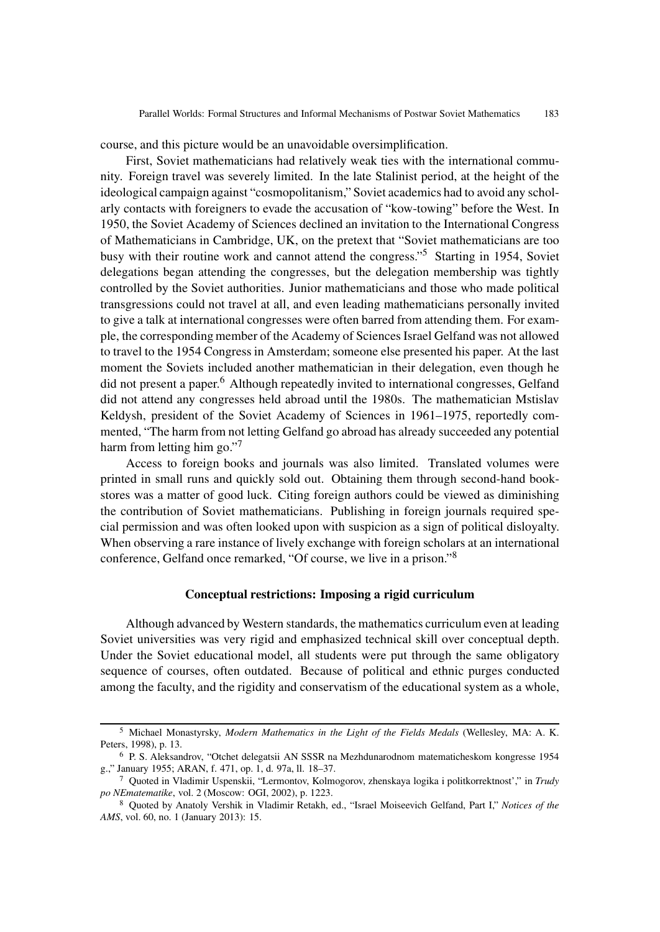course, and this picture would be an unavoidable oversimplification.

First, Soviet mathematicians had relatively weak ties with the international community. Foreign travel was severely limited. In the late Stalinist period, at the height of the ideological campaign against "cosmopolitanism," Soviet academics had to avoid any scholarly contacts with foreigners to evade the accusation of "kow-towing" before the West. In 1950, the Soviet Academy of Sciences declined an invitation to the International Congress of Mathematicians in Cambridge, UK, on the pretext that "Soviet mathematicians are too busy with their routine work and cannot attend the congress."<sup>5</sup> Starting in 1954, Soviet delegations began attending the congresses, but the delegation membership was tightly controlled by the Soviet authorities. Junior mathematicians and those who made political transgressions could not travel at all, and even leading mathematicians personally invited to give a talk at international congresses were often barred from attending them. For example, the corresponding member of the Academy of Sciences Israel Gelfand was not allowed to travel to the 1954 Congress in Amsterdam; someone else presented his paper. At the last moment the Soviets included another mathematician in their delegation, even though he did not present a paper.<sup>6</sup> Although repeatedly invited to international congresses, Gelfand did not attend any congresses held abroad until the 1980s. The mathematician Mstislav Keldysh, president of the Soviet Academy of Sciences in 1961–1975, reportedly commented, "The harm from not letting Gelfand go abroad has already succeeded any potential harm from letting him go."<sup>7</sup>

Access to foreign books and journals was also limited. Translated volumes were printed in small runs and quickly sold out. Obtaining them through second-hand bookstores was a matter of good luck. Citing foreign authors could be viewed as diminishing the contribution of Soviet mathematicians. Publishing in foreign journals required special permission and was often looked upon with suspicion as a sign of political disloyalty. When observing a rare instance of lively exchange with foreign scholars at an international conference, Gelfand once remarked, "Of course, we live in a prison."<sup>8</sup>

## **Conceptual restrictions: Imposing a rigid curriculum**

Although advanced by Western standards, the mathematics curriculum even at leading Soviet universities was very rigid and emphasized technical skill over conceptual depth. Under the Soviet educational model, all students were put through the same obligatory sequence of courses, often outdated. Because of political and ethnic purges conducted among the faculty, and the rigidity and conservatism of the educational system as a whole,

<sup>5</sup> Michael Monastyrsky, *Modern Mathematics in the Light of the Fields Medals* (Wellesley, MA: A. K. Peters, 1998), p. 13.

<sup>6</sup> P. S. Aleksandrov, "Otchet delegatsii AN SSSR na Mezhdunarodnom matematicheskom kongresse 1954 g.," January 1955; ARAN, f. 471, op. 1, d. 97a, ll. 18–37.

<sup>7</sup> Quoted in Vladimir Uspenskii, "Lermontov, Kolmogorov, zhenskaya logika i politkorrektnost'," in *Trudy po NEmatematike*, vol. 2 (Moscow: OGI, 2002), p. 1223.

<sup>8</sup> Quoted by Anatoly Vershik in Vladimir Retakh, ed., "Israel Moiseevich Gelfand, Part I," *Notices of the AMS*, vol. 60, no. 1 (January 2013): 15.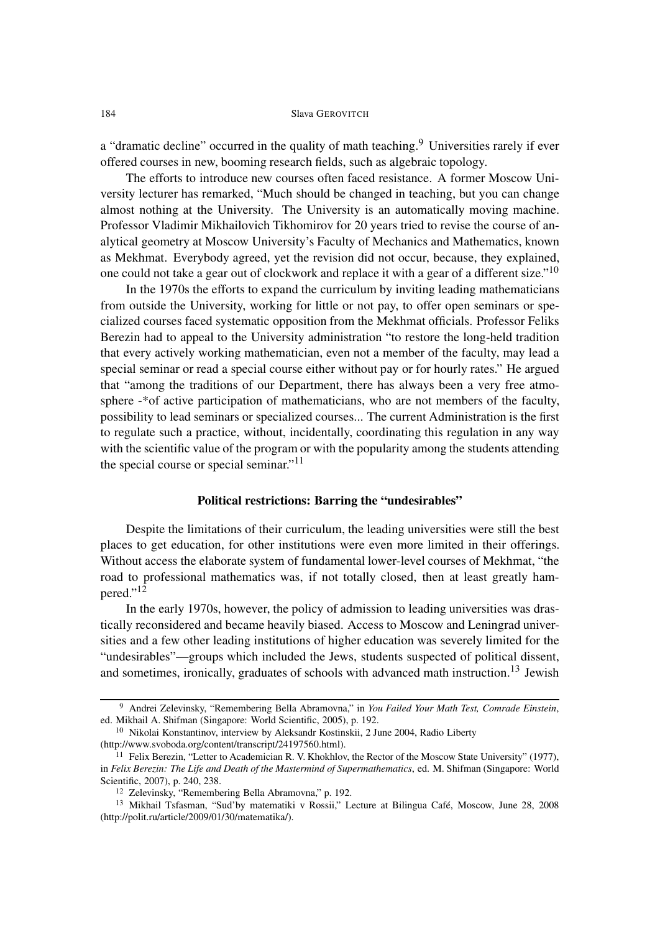a "dramatic decline" occurred in the quality of math teaching.<sup>9</sup> Universities rarely if ever offered courses in new, booming research fields, such as algebraic topology.

The efforts to introduce new courses often faced resistance. A former Moscow University lecturer has remarked, "Much should be changed in teaching, but you can change almost nothing at the University. The University is an automatically moving machine. Professor Vladimir Mikhailovich Tikhomirov for 20 years tried to revise the course of analytical geometry at Moscow University's Faculty of Mechanics and Mathematics, known as Mekhmat. Everybody agreed, yet the revision did not occur, because, they explained, one could not take a gear out of clockwork and replace it with a gear of a different size."<sup>10</sup>

In the 1970s the efforts to expand the curriculum by inviting leading mathematicians from outside the University, working for little or not pay, to offer open seminars or specialized courses faced systematic opposition from the Mekhmat officials. Professor Feliks Berezin had to appeal to the University administration "to restore the long-held tradition that every actively working mathematician, even not a member of the faculty, may lead a special seminar or read a special course either without pay or for hourly rates." He argued that "among the traditions of our Department, there has always been a very free atmosphere -\*of active participation of mathematicians, who are not members of the faculty, possibility to lead seminars or specialized courses... The current Administration is the first to regulate such a practice, without, incidentally, coordinating this regulation in any way with the scientific value of the program or with the popularity among the students attending the special course or special seminar."<sup>11</sup>

# **Political restrictions: Barring the "undesirables"**

Despite the limitations of their curriculum, the leading universities were still the best places to get education, for other institutions were even more limited in their offerings. Without access the elaborate system of fundamental lower-level courses of Mekhmat, "the road to professional mathematics was, if not totally closed, then at least greatly hampered."<sup>12</sup>

In the early 1970s, however, the policy of admission to leading universities was drastically reconsidered and became heavily biased. Access to Moscow and Leningrad universities and a few other leading institutions of higher education was severely limited for the "undesirables"—groups which included the Jews, students suspected of political dissent, and sometimes, ironically, graduates of schools with advanced math instruction.<sup>13</sup> Jewish

<sup>9</sup> Andrei Zelevinsky, "Remembering Bella Abramovna," in *You Failed Your Math Test, Comrade Einstein*, ed. Mikhail A. Shifman (Singapore: World Scientific, 2005), p. 192.

<sup>10</sup> Nikolai Konstantinov, interview by Aleksandr Kostinskii, 2 June 2004, Radio Liberty (http://www.svoboda.org/content/transcript/24197560.html).

<sup>&</sup>lt;sup>11</sup> Felix Berezin, "Letter to Academician R. V. Khokhlov, the Rector of the Moscow State University" (1977), in *Felix Berezin: The Life and Death of the Mastermind of Supermathematics*, ed. M. Shifman (Singapore: World Scientific, 2007), p. 240, 238.

<sup>12</sup> Zelevinsky, "Remembering Bella Abramovna," p. 192.

<sup>13</sup> Mikhail Tsfasman, "Sud'by matematiki v Rossii," Lecture at Bilingua Café, Moscow, June 28, 2008 (http://polit.ru/article/2009/01/30/matematika/).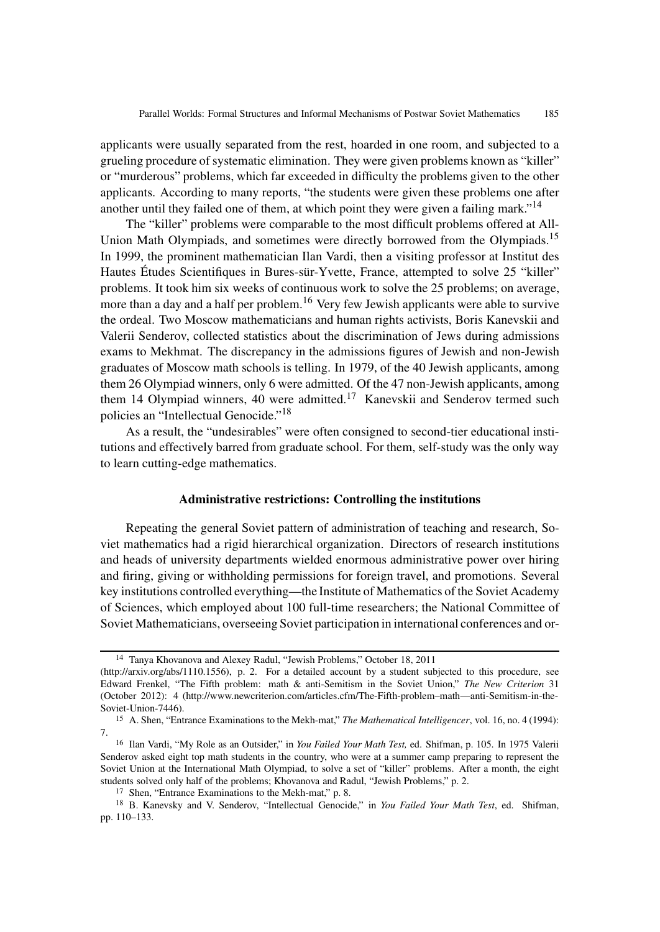applicants were usually separated from the rest, hoarded in one room, and subjected to a grueling procedure of systematic elimination. They were given problems known as "killer" or "murderous" problems, which far exceeded in difficulty the problems given to the other applicants. According to many reports, "the students were given these problems one after another until they failed one of them, at which point they were given a failing mark."<sup>14</sup>

The "killer" problems were comparable to the most difficult problems offered at All-Union Math Olympiads, and sometimes were directly borrowed from the Olympiads.<sup>15</sup> In 1999, the prominent mathematician Ilan Vardi, then a visiting professor at Institut des Hautes Études Scientifiques in Bures-sür-Yvette, France, attempted to solve 25 "killer" problems. It took him six weeks of continuous work to solve the 25 problems; on average, more than a day and a half per problem.<sup>16</sup> Very few Jewish applicants were able to survive the ordeal. Two Moscow mathematicians and human rights activists, Boris Kanevskii and Valerii Senderov, collected statistics about the discrimination of Jews during admissions exams to Mekhmat. The discrepancy in the admissions figures of Jewish and non-Jewish graduates of Moscow math schools is telling. In 1979, of the 40 Jewish applicants, among them 26 Olympiad winners, only 6 were admitted. Of the 47 non-Jewish applicants, among them 14 Olympiad winners, 40 were admitted.<sup>17</sup> Kanevskii and Senderov termed such policies an "Intellectual Genocide."<sup>18</sup>

As a result, the "undesirables" were often consigned to second-tier educational institutions and effectively barred from graduate school. For them, self-study was the only way to learn cutting-edge mathematics.

## **Administrative restrictions: Controlling the institutions**

Repeating the general Soviet pattern of administration of teaching and research, Soviet mathematics had a rigid hierarchical organization. Directors of research institutions and heads of university departments wielded enormous administrative power over hiring and firing, giving or withholding permissions for foreign travel, and promotions. Several key institutions controlled everything—the Institute of Mathematics of the Soviet Academy of Sciences, which employed about 100 full-time researchers; the National Committee of Soviet Mathematicians, overseeing Soviet participation in international conferences and or-

<sup>14</sup> Tanya Khovanova and Alexey Radul, "Jewish Problems," October 18, 2011

<sup>(</sup>http://arxiv.org/abs/1110.1556), p. 2. For a detailed account by a student subjected to this procedure, see Edward Frenkel, "The Fifth problem: math & anti-Semitism in the Soviet Union," *The New Criterion* 31 (October 2012): 4 (http://www.newcriterion.com/articles.cfm/The-Fifth-problem–math—anti-Semitism-in-the-Soviet-Union-7446).

<sup>15</sup> A. Shen, "Entrance Examinations to the Mekh-mat," *The Mathematical Intelligencer*, vol. 16, no. 4 (1994): 7.

<sup>16</sup> Ilan Vardi, "My Role as an Outsider," in *You Failed Your Math Test,* ed. Shifman, p. 105. In 1975 Valerii Senderov asked eight top math students in the country, who were at a summer camp preparing to represent the Soviet Union at the International Math Olympiad, to solve a set of "killer" problems. After a month, the eight students solved only half of the problems; Khovanova and Radul, "Jewish Problems," p. 2.

<sup>17</sup> Shen, "Entrance Examinations to the Mekh-mat," p. 8.

<sup>18</sup> B. Kanevsky and V. Senderov, "Intellectual Genocide," in *You Failed Your Math Test*, ed. Shifman, pp. 110–133.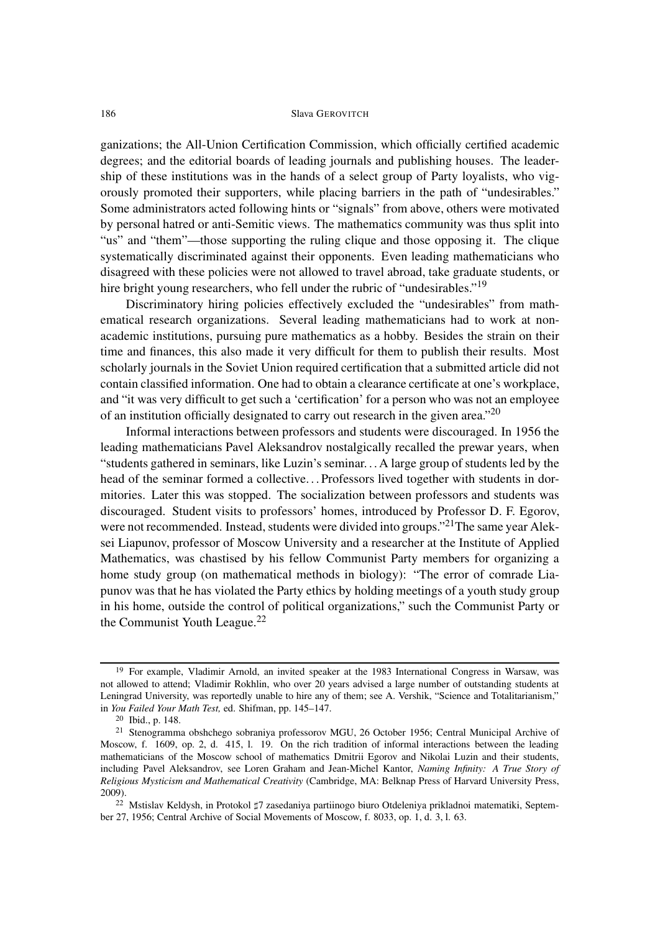ganizations; the All-Union Certification Commission, which officially certified academic degrees; and the editorial boards of leading journals and publishing houses. The leadership of these institutions was in the hands of a select group of Party loyalists, who vigorously promoted their supporters, while placing barriers in the path of "undesirables." Some administrators acted following hints or "signals" from above, others were motivated by personal hatred or anti-Semitic views. The mathematics community was thus split into "us" and "them"—those supporting the ruling clique and those opposing it. The clique systematically discriminated against their opponents. Even leading mathematicians who disagreed with these policies were not allowed to travel abroad, take graduate students, or hire bright young researchers, who fell under the rubric of "undesirables."<sup>19</sup>

Discriminatory hiring policies effectively excluded the "undesirables" from mathematical research organizations. Several leading mathematicians had to work at nonacademic institutions, pursuing pure mathematics as a hobby. Besides the strain on their time and finances, this also made it very difficult for them to publish their results. Most scholarly journals in the Soviet Union required certification that a submitted article did not contain classified information. One had to obtain a clearance certificate at one's workplace, and "it was very difficult to get such a 'certification' for a person who was not an employee of an institution officially designated to carry out research in the given area."20

Informal interactions between professors and students were discouraged. In 1956 the leading mathematicians Pavel Aleksandrov nostalgically recalled the prewar years, when "students gathered in seminars, like Luzin's seminar. . . A large group of students led by the head of the seminar formed a collective. . . Professors lived together with students in dormitories. Later this was stopped. The socialization between professors and students was discouraged. Student visits to professors' homes, introduced by Professor D. F. Egorov, were not recommended. Instead, students were divided into groups."<sup>21</sup>The same year Aleksei Liapunov, professor of Moscow University and a researcher at the Institute of Applied Mathematics, was chastised by his fellow Communist Party members for organizing a home study group (on mathematical methods in biology): "The error of comrade Liapunov was that he has violated the Party ethics by holding meetings of a youth study group in his home, outside the control of political organizations," such the Communist Party or the Communist Youth League. $^{22}$ 

<sup>19</sup> For example, Vladimir Arnold, an invited speaker at the 1983 International Congress in Warsaw, was not allowed to attend; Vladimir Rokhlin, who over 20 years advised a large number of outstanding students at Leningrad University, was reportedly unable to hire any of them; see A. Vershik, "Science and Totalitarianism," in *You Failed Your Math Test,* ed. Shifman, pp. 145–147.

<sup>20</sup> Ibid., p. 148.

<sup>21</sup> Stenogramma obshchego sobraniya professorov MGU, 26 October 1956; Central Municipal Archive of Moscow, f. 1609, op. 2, d. 415, l. 19. On the rich tradition of informal interactions between the leading mathematicians of the Moscow school of mathematics Dmitrii Egorov and Nikolai Luzin and their students, including Pavel Aleksandrov, see Loren Graham and Jean-Michel Kantor, *Naming Infinity: A True Story of Religious Mysticism and Mathematical Creativity* (Cambridge, MA: Belknap Press of Harvard University Press, 2009).

<sup>&</sup>lt;sup>22</sup> Mstislav Keldysh, in Protokol  $\sharp 7$  zasedaniya partiinogo biuro Otdeleniya prikladnoi matematiki, September 27, 1956; Central Archive of Social Movements of Moscow, f. 8033, op. 1, d. 3, l. 63.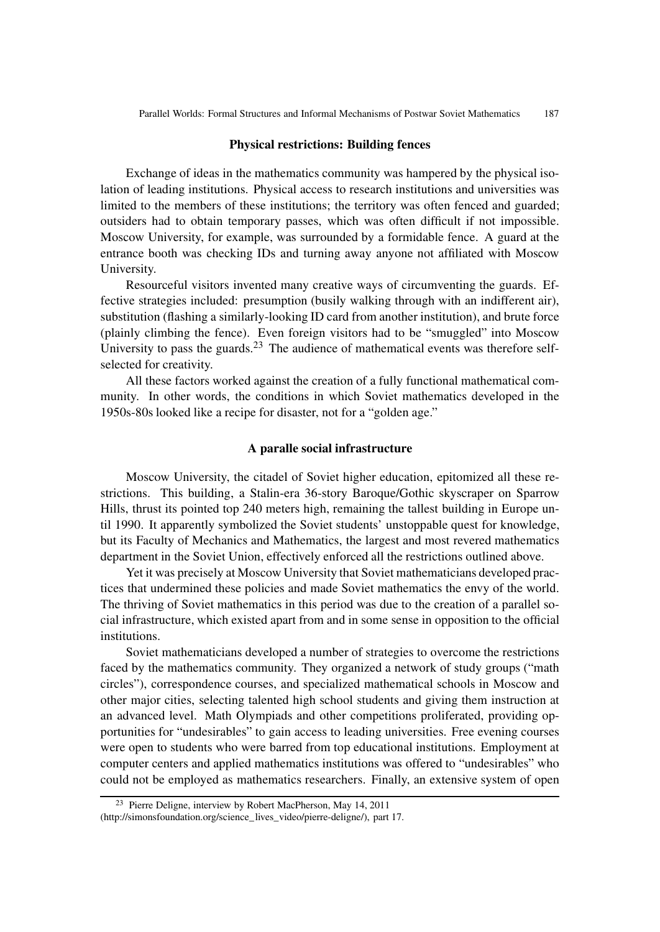#### **Physical restrictions: Building fences**

Exchange of ideas in the mathematics community was hampered by the physical isolation of leading institutions. Physical access to research institutions and universities was limited to the members of these institutions; the territory was often fenced and guarded; outsiders had to obtain temporary passes, which was often difficult if not impossible. Moscow University, for example, was surrounded by a formidable fence. A guard at the entrance booth was checking IDs and turning away anyone not affiliated with Moscow University.

Resourceful visitors invented many creative ways of circumventing the guards. Effective strategies included: presumption (busily walking through with an indifferent air), substitution (flashing a similarly-looking ID card from another institution), and brute force (plainly climbing the fence). Even foreign visitors had to be "smuggled" into Moscow University to pass the guards. $2<sup>3</sup>$  The audience of mathematical events was therefore selfselected for creativity.

All these factors worked against the creation of a fully functional mathematical community. In other words, the conditions in which Soviet mathematics developed in the 1950s-80s looked like a recipe for disaster, not for a "golden age."

## **A paralle social infrastructure**

Moscow University, the citadel of Soviet higher education, epitomized all these restrictions. This building, a Stalin-era 36-story Baroque/Gothic skyscraper on Sparrow Hills, thrust its pointed top 240 meters high, remaining the tallest building in Europe until 1990. It apparently symbolized the Soviet students' unstoppable quest for knowledge, but its Faculty of Mechanics and Mathematics, the largest and most revered mathematics department in the Soviet Union, effectively enforced all the restrictions outlined above.

Yet it was precisely at Moscow University that Soviet mathematicians developed practices that undermined these policies and made Soviet mathematics the envy of the world. The thriving of Soviet mathematics in this period was due to the creation of a parallel social infrastructure, which existed apart from and in some sense in opposition to the official institutions.

Soviet mathematicians developed a number of strategies to overcome the restrictions faced by the mathematics community. They organized a network of study groups ("math circles"), correspondence courses, and specialized mathematical schools in Moscow and other major cities, selecting talented high school students and giving them instruction at an advanced level. Math Olympiads and other competitions proliferated, providing opportunities for "undesirables" to gain access to leading universities. Free evening courses were open to students who were barred from top educational institutions. Employment at computer centers and applied mathematics institutions was offered to "undesirables" who could not be employed as mathematics researchers. Finally, an extensive system of open

<sup>23</sup> Pierre Deligne, interview by Robert MacPherson, May 14, 2011 (http://simonsfoundation.org/science\_lives\_video/pierre-deligne/), part 17.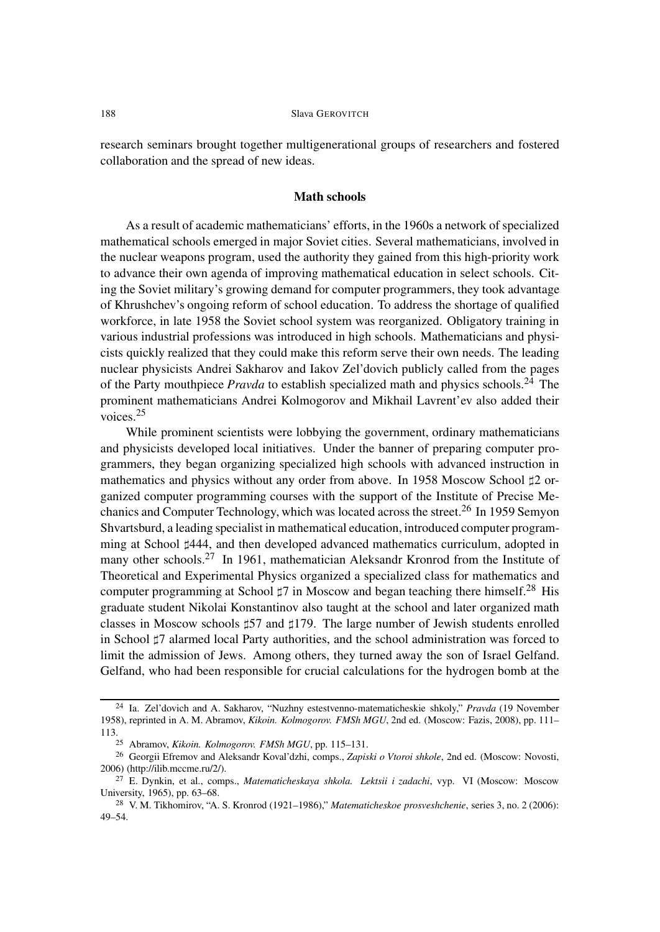research seminars brought together multigenerational groups of researchers and fostered collaboration and the spread of new ideas.

## **Math schools**

As a result of academic mathematicians' efforts, in the 1960s a network of specialized mathematical schools emerged in major Soviet cities. Several mathematicians, involved in the nuclear weapons program, used the authority they gained from this high-priority work to advance their own agenda of improving mathematical education in select schools. Citing the Soviet military's growing demand for computer programmers, they took advantage of Khrushchev's ongoing reform of school education. To address the shortage of qualified workforce, in late 1958 the Soviet school system was reorganized. Obligatory training in various industrial professions was introduced in high schools. Mathematicians and physicists quickly realized that they could make this reform serve their own needs. The leading nuclear physicists Andrei Sakharov and Iakov Zel'dovich publicly called from the pages of the Party mouthpiece *Pravda* to establish specialized math and physics schools.<sup>24</sup> The prominent mathematicians Andrei Kolmogorov and Mikhail Lavrent'ev also added their voices.<sup>25</sup>

While prominent scientists were lobbying the government, ordinary mathematicians and physicists developed local initiatives. Under the banner of preparing computer programmers, they began organizing specialized high schools with advanced instruction in mathematics and physics without any order from above. In 1958 Moscow School  $\sharp 2$  organized computer programming courses with the support of the Institute of Precise Mechanics and Computer Technology, which was located across the street.<sup>26</sup> In 1959 Semyon Shvartsburd, a leading specialist in mathematical education, introduced computer programming at School #444, and then developed advanced mathematics curriculum, adopted in many other schools.<sup>27</sup> In 1961, mathematician Aleksandr Kronrod from the Institute of Theoretical and Experimental Physics organized a specialized class for mathematics and computer programming at School  $\sharp 7$  in Moscow and began teaching there himself.<sup>28</sup> His graduate student Nikolai Konstantinov also taught at the school and later organized math classes in Moscow schools  $\sharp$ 57 and  $\sharp$ 179. The large number of Jewish students enrolled in School  $\sharp 7$  alarmed local Party authorities, and the school administration was forced to limit the admission of Jews. Among others, they turned away the son of Israel Gelfand. Gelfand, who had been responsible for crucial calculations for the hydrogen bomb at the

<sup>24</sup> Ia. Zel'dovich and A. Sakharov, "Nuzhny estestvenno-matematicheskie shkoly," *Pravda* (19 November 1958), reprinted in A. M. Abramov, *Kikoin. Kolmogorov. FMSh MGU*, 2nd ed. (Moscow: Fazis, 2008), pp. 111– 113.25 Abramov, *Kikoin. Kolmogorov. FMSh MGU*, pp. 115–131.

<sup>26</sup> Georgii Efremov and Aleksandr Koval'dzhi, comps., *Zapiski o Vtoroi shkole*, 2nd ed. (Moscow: Novosti, 2006) (http://ilib.mccme.ru/2/).

<sup>27</sup> E. Dynkin, et al., comps., *Matematicheskaya shkola. Lektsii i zadachi*, vyp. VI (Moscow: Moscow University, 1965), pp. 63–68.

<sup>28</sup> V. M. Tikhomirov, "A. S. Kronrod (1921–1986)," *Matematicheskoe prosveshchenie*, series 3, no. 2 (2006): 49–54.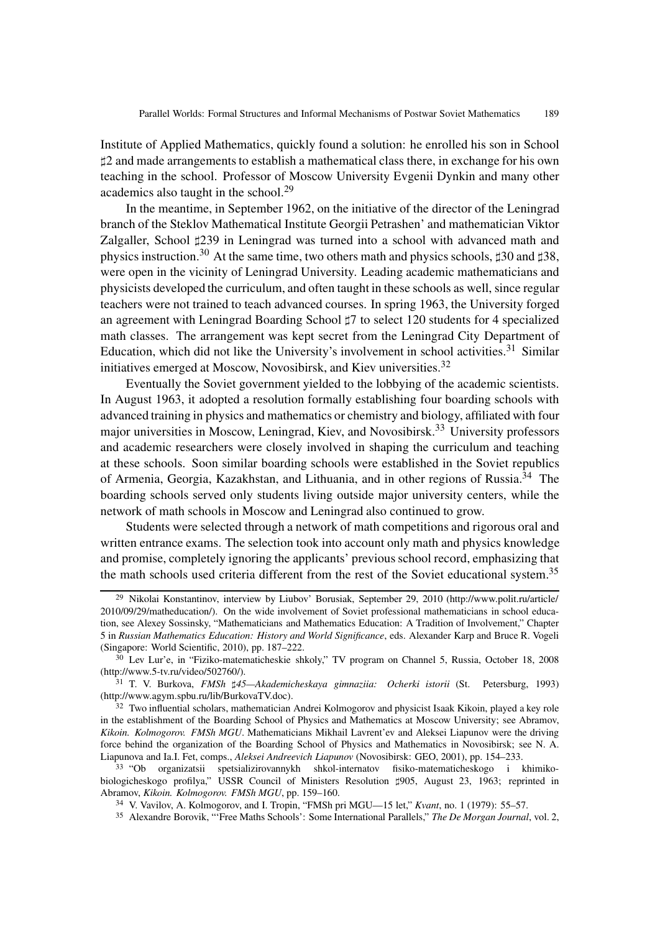Institute of Applied Mathematics, quickly found a solution: he enrolled his son in School -2 and made arrangements to establish a mathematical class there, in exchange for his own teaching in the school. Professor of Moscow University Evgenii Dynkin and many other academics also taught in the school.<sup>29</sup>

In the meantime, in September 1962, on the initiative of the director of the Leningrad branch of the Steklov Mathematical Institute Georgii Petrashen' and mathematician Viktor Zalgaller, School #239 in Leningrad was turned into a school with advanced math and physics instruction.<sup>30</sup> At the same time, two others math and physics schools,  $\sharp 30$  and  $\sharp 38$ , were open in the vicinity of Leningrad University. Leading academic mathematicians and physicists developed the curriculum, and often taught in these schools as well, since regular teachers were not trained to teach advanced courses. In spring 1963, the University forged an agreement with Leningrad Boarding School  $\sharp 7$  to select 120 students for 4 specialized math classes. The arrangement was kept secret from the Leningrad City Department of Education, which did not like the University's involvement in school activities.<sup>31</sup> Similar initiatives emerged at Moscow, Novosibirsk, and Kiev universities.<sup>32</sup>

Eventually the Soviet government yielded to the lobbying of the academic scientists. In August 1963, it adopted a resolution formally establishing four boarding schools with advanced training in physics and mathematics or chemistry and biology, affiliated with four major universities in Moscow, Leningrad, Kiev, and Novosibirsk.<sup>33</sup> University professors and academic researchers were closely involved in shaping the curriculum and teaching at these schools. Soon similar boarding schools were established in the Soviet republics of Armenia, Georgia, Kazakhstan, and Lithuania, and in other regions of Russia.<sup>34</sup> The boarding schools served only students living outside major university centers, while the network of math schools in Moscow and Leningrad also continued to grow.

Students were selected through a network of math competitions and rigorous oral and written entrance exams. The selection took into account only math and physics knowledge and promise, completely ignoring the applicants' previous school record, emphasizing that the math schools used criteria different from the rest of the Soviet educational system.<sup>35</sup>

<sup>29</sup> Nikolai Konstantinov, interview by Liubov' Borusiak, September 29, 2010 (http://www.polit.ru/article/ 2010/09/29/matheducation/). On the wide involvement of Soviet professional mathematicians in school education, see Alexey Sossinsky, "Mathematicians and Mathematics Education: A Tradition of Involvement," Chapter 5 in *Russian Mathematics Education: History and World Significance*, eds. Alexander Karp and Bruce R. Vogeli (Singapore: World Scientific, 2010), pp. 187–222.

<sup>30</sup> Lev Lur'e, in "Fiziko-matematicheskie shkoly," TV program on Channel 5, Russia, October 18, 2008 (http://www.5-tv.ru/video/502760/).

<sup>&</sup>lt;sup>31</sup> T. V. Burkova, *FMSh*  $\sharp$ 45—Akademicheskaya gimnaziia: Ocherki istorii (St. Petersburg, 1993) (http://www.agym.spbu.ru/lib/BurkovaTV.doc).

<sup>&</sup>lt;sup>32</sup> Two influential scholars, mathematician Andrei Kolmogorov and physicist Isaak Kikoin, played a key role in the establishment of the Boarding School of Physics and Mathematics at Moscow University; see Abramov, *Kikoin. Kolmogorov. FMSh MGU*. Mathematicians Mikhail Lavrent'ev and Aleksei Liapunov were the driving force behind the organization of the Boarding School of Physics and Mathematics in Novosibirsk; see N. A. Liapunova and Ia.I. Fet, comps., *Aleksei Andreevich Liapunov* (Novosibirsk: GEO, 2001), pp. 154–233.

<sup>33</sup> "Ob organizatsii spetsializirovannykh shkol-internatov fisiko-matematicheskogo i khimikobiologicheskogo profilya," USSR Council of Ministers Resolution #905, August 23, 1963; reprinted in Abramov, *Kikoin. Kolmogorov. FMSh MGU*, pp. 159–160.

<sup>34</sup> V. Vavilov, A. Kolmogorov, and I. Tropin, "FMSh pri MGU—15 let," *Kvant*, no. 1 (1979): 55–57.

<sup>35</sup> Alexandre Borovik, "'Free Maths Schools': Some International Parallels," *The De Morgan Journal*, vol. 2,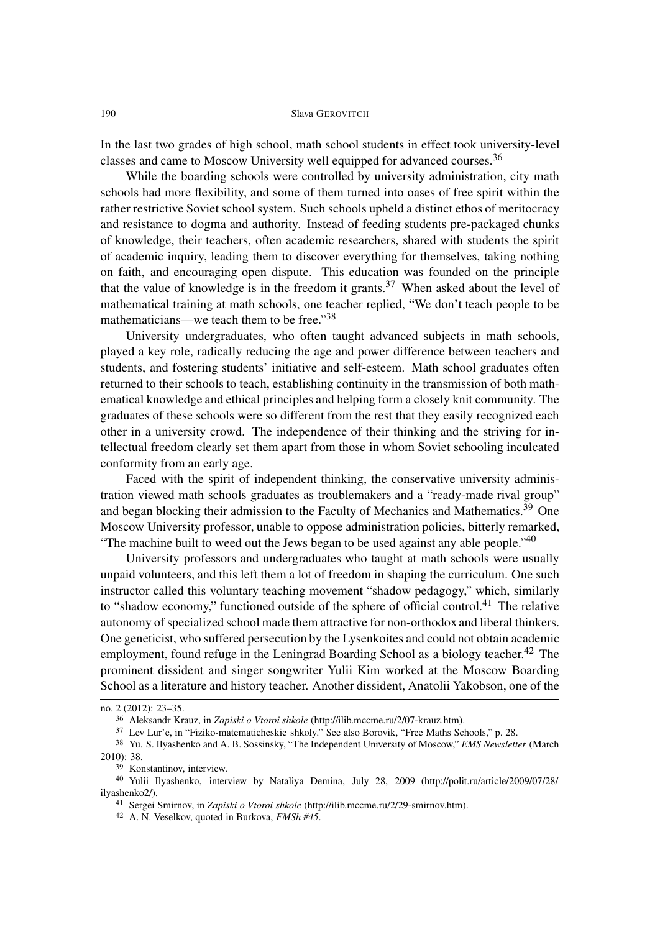In the last two grades of high school, math school students in effect took university-level classes and came to Moscow University well equipped for advanced courses.<sup>36</sup>

While the boarding schools were controlled by university administration, city math schools had more flexibility, and some of them turned into oases of free spirit within the rather restrictive Soviet school system. Such schools upheld a distinct ethos of meritocracy and resistance to dogma and authority. Instead of feeding students pre-packaged chunks of knowledge, their teachers, often academic researchers, shared with students the spirit of academic inquiry, leading them to discover everything for themselves, taking nothing on faith, and encouraging open dispute. This education was founded on the principle that the value of knowledge is in the freedom it grants.<sup>37</sup> When asked about the level of mathematical training at math schools, one teacher replied, "We don't teach people to be mathematicians—we teach them to be free."<sup>38</sup>

University undergraduates, who often taught advanced subjects in math schools, played a key role, radically reducing the age and power difference between teachers and students, and fostering students' initiative and self-esteem. Math school graduates often returned to their schools to teach, establishing continuity in the transmission of both mathematical knowledge and ethical principles and helping form a closely knit community. The graduates of these schools were so different from the rest that they easily recognized each other in a university crowd. The independence of their thinking and the striving for intellectual freedom clearly set them apart from those in whom Soviet schooling inculcated conformity from an early age.

Faced with the spirit of independent thinking, the conservative university administration viewed math schools graduates as troublemakers and a "ready-made rival group" and began blocking their admission to the Faculty of Mechanics and Mathematics.<sup>39</sup> One Moscow University professor, unable to oppose administration policies, bitterly remarked, "The machine built to weed out the Jews began to be used against any able people." $40$ 

University professors and undergraduates who taught at math schools were usually unpaid volunteers, and this left them a lot of freedom in shaping the curriculum. One such instructor called this voluntary teaching movement "shadow pedagogy," which, similarly to "shadow economy," functioned outside of the sphere of official control.<sup>41</sup> The relative autonomy of specialized school made them attractive for non-orthodox and liberal thinkers. One geneticist, who suffered persecution by the Lysenkoites and could not obtain academic employment, found refuge in the Leningrad Boarding School as a biology teacher.<sup>42</sup> The prominent dissident and singer songwriter Yulii Kim worked at the Moscow Boarding School as a literature and history teacher. Another dissident, Anatolii Yakobson, one of the

no. 2 (2012): 23–35.

<sup>36</sup> Aleksandr Krauz, in *Zapiski o Vtoroi shkole* (http://ilib.mccme.ru/2/07-krauz.htm).

<sup>37</sup> Lev Lur'e, in "Fiziko-matematicheskie shkoly." See also Borovik, "Free Maths Schools," p. 28.

<sup>38</sup> Yu. S. Ilyashenko and A. B. Sossinsky, "The Independent University of Moscow," *EMS Newsletter* (March 2010): 38.

<sup>39</sup> Konstantinov, interview.

<sup>40</sup> Yulii Ilyashenko, interview by Nataliya Demina, July 28, 2009 (http://polit.ru/article/2009/07/28/ ilyashenko2/).

<sup>41</sup> Sergei Smirnov, in *Zapiski o Vtoroi shkole* (http://ilib.mccme.ru/2/29-smirnov.htm).

<sup>42</sup> A. N. Veselkov, quoted in Burkova, *FMSh #45*.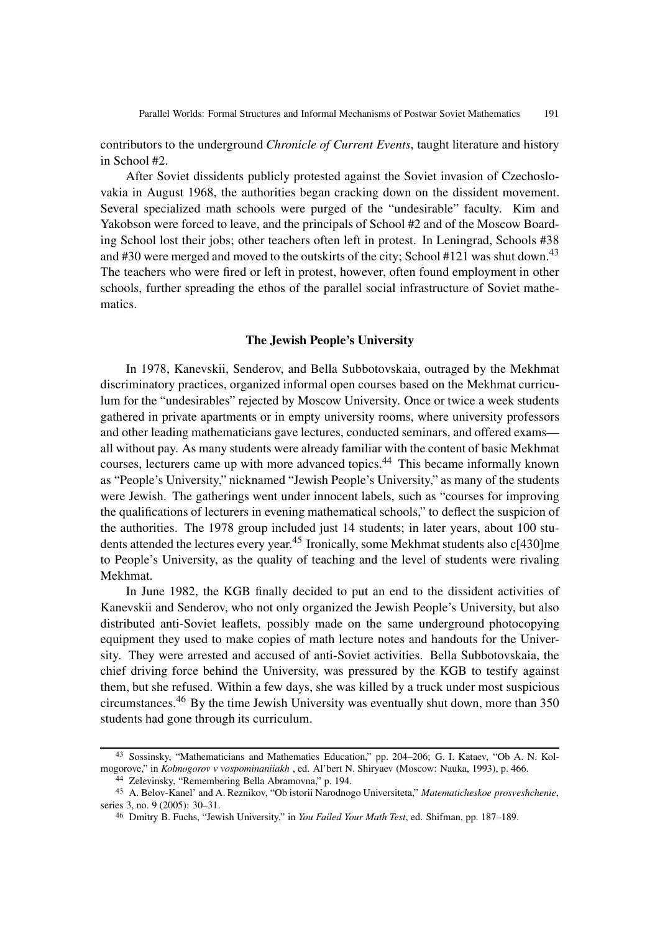contributors to the underground *Chronicle of Current Events*, taught literature and history in School #2.

After Soviet dissidents publicly protested against the Soviet invasion of Czechoslovakia in August 1968, the authorities began cracking down on the dissident movement. Several specialized math schools were purged of the "undesirable" faculty. Kim and Yakobson were forced to leave, and the principals of School #2 and of the Moscow Boarding School lost their jobs; other teachers often left in protest. In Leningrad, Schools #38 and #30 were merged and moved to the outskirts of the city; School #121 was shut down.<sup>43</sup> The teachers who were fired or left in protest, however, often found employment in other schools, further spreading the ethos of the parallel social infrastructure of Soviet mathematics.

## **The Jewish People's University**

In 1978, Kanevskii, Senderov, and Bella Subbotovskaia, outraged by the Mekhmat discriminatory practices, organized informal open courses based on the Mekhmat curriculum for the "undesirables" rejected by Moscow University. Once or twice a week students gathered in private apartments or in empty university rooms, where university professors and other leading mathematicians gave lectures, conducted seminars, and offered exams all without pay. As many students were already familiar with the content of basic Mekhmat courses, lecturers came up with more advanced topics.<sup>44</sup> This became informally known as "People's University," nicknamed "Jewish People's University," as many of the students were Jewish. The gatherings went under innocent labels, such as "courses for improving the qualifications of lecturers in evening mathematical schools," to deflect the suspicion of the authorities. The 1978 group included just 14 students; in later years, about 100 students attended the lectures every year.<sup>45</sup> Ironically, some Mekhmat students also c[430]me to People's University, as the quality of teaching and the level of students were rivaling Mekhmat.

In June 1982, the KGB finally decided to put an end to the dissident activities of Kanevskii and Senderov, who not only organized the Jewish People's University, but also distributed anti-Soviet leaflets, possibly made on the same underground photocopying equipment they used to make copies of math lecture notes and handouts for the University. They were arrested and accused of anti-Soviet activities. Bella Subbotovskaia, the chief driving force behind the University, was pressured by the KGB to testify against them, but she refused. Within a few days, she was killed by a truck under most suspicious circumstances.<sup>46</sup> By the time Jewish University was eventually shut down, more than 350 students had gone through its curriculum.

<sup>43</sup> Sossinsky, "Mathematicians and Mathematics Education," pp. 204–206; G. I. Kataev, "Ob A. N. Kolmogorove," in *Kolmogorov v vospominaniiakh* , ed. Al'bert N. Shiryaev (Moscow: Nauka, 1993), p. 466.

<sup>44</sup> Zelevinsky, "Remembering Bella Abramovna," p. 194.

<sup>45</sup> A. Belov-Kanel' and A. Reznikov, "Ob istorii Narodnogo Universiteta," *Matematicheskoe prosveshchenie*, series 3, no. 9 (2005): 30–31.

<sup>46</sup> Dmitry B. Fuchs, "Jewish University," in *You Failed Your Math Test*, ed. Shifman, pp. 187–189.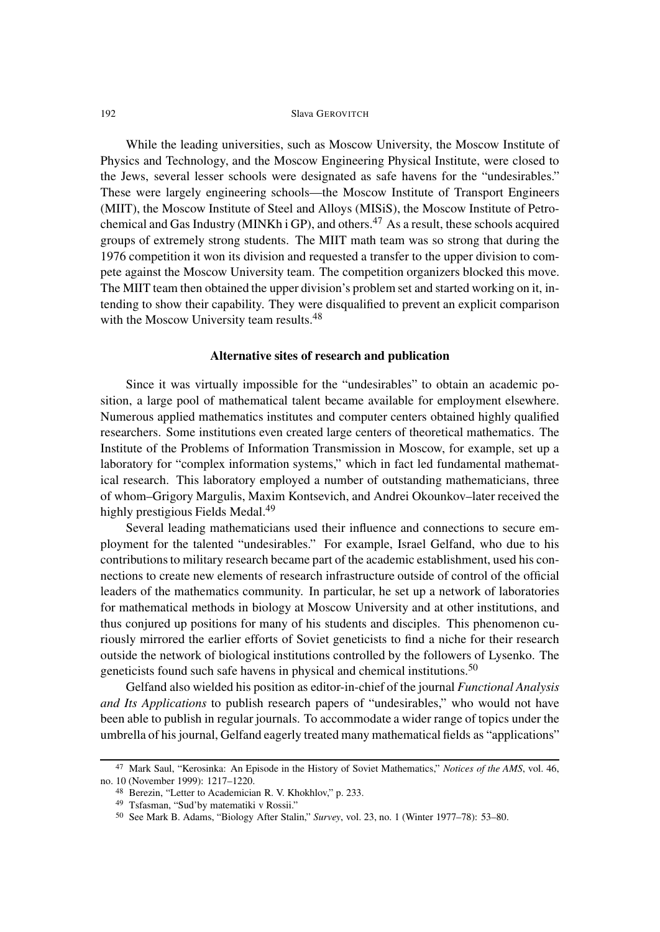While the leading universities, such as Moscow University, the Moscow Institute of Physics and Technology, and the Moscow Engineering Physical Institute, were closed to the Jews, several lesser schools were designated as safe havens for the "undesirables." These were largely engineering schools—the Moscow Institute of Transport Engineers (MIIT), the Moscow Institute of Steel and Alloys (MISiS), the Moscow Institute of Petrochemical and Gas Industry (MINKh i GP), and others.<sup>47</sup> As a result, these schools acquired groups of extremely strong students. The MIIT math team was so strong that during the 1976 competition it won its division and requested a transfer to the upper division to compete against the Moscow University team. The competition organizers blocked this move. The MIIT team then obtained the upper division's problem set and started working on it, intending to show their capability. They were disqualified to prevent an explicit comparison with the Moscow University team results.<sup>48</sup>

## **Alternative sites of research and publication**

Since it was virtually impossible for the "undesirables" to obtain an academic position, a large pool of mathematical talent became available for employment elsewhere. Numerous applied mathematics institutes and computer centers obtained highly qualified researchers. Some institutions even created large centers of theoretical mathematics. The Institute of the Problems of Information Transmission in Moscow, for example, set up a laboratory for "complex information systems," which in fact led fundamental mathematical research. This laboratory employed a number of outstanding mathematicians, three of whom–Grigory Margulis, Maxim Kontsevich, and Andrei Okounkov–later received the highly prestigious Fields Medal.<sup>49</sup>

Several leading mathematicians used their influence and connections to secure employment for the talented "undesirables." For example, Israel Gelfand, who due to his contributions to military research became part of the academic establishment, used his connections to create new elements of research infrastructure outside of control of the official leaders of the mathematics community. In particular, he set up a network of laboratories for mathematical methods in biology at Moscow University and at other institutions, and thus conjured up positions for many of his students and disciples. This phenomenon curiously mirrored the earlier efforts of Soviet geneticists to find a niche for their research outside the network of biological institutions controlled by the followers of Lysenko. The geneticists found such safe havens in physical and chemical institutions.<sup>50</sup>

Gelfand also wielded his position as editor-in-chief of the journal *Functional Analysis and Its Applications* to publish research papers of "undesirables," who would not have been able to publish in regular journals. To accommodate a wider range of topics under the umbrella of his journal, Gelfand eagerly treated many mathematical fields as "applications"

<sup>47</sup> Mark Saul, "Kerosinka: An Episode in the History of Soviet Mathematics," *Notices of the AMS*, vol. 46, no. 10 (November 1999): 1217–1220.

<sup>48</sup> Berezin, "Letter to Academician R. V. Khokhlov," p. 233.

<sup>49</sup> Tsfasman, "Sud'by matematiki v Rossii."

<sup>50</sup> See Mark B. Adams, "Biology After Stalin," *Survey*, vol. 23, no. 1 (Winter 1977–78): 53–80.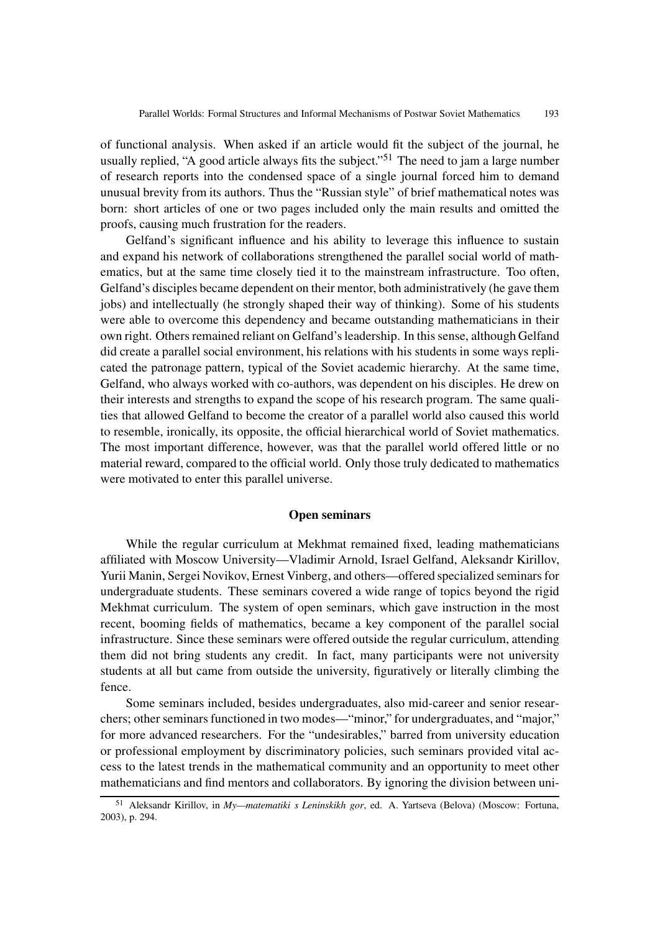of functional analysis. When asked if an article would fit the subject of the journal, he usually replied, "A good article always fits the subject."<sup>51</sup> The need to jam a large number of research reports into the condensed space of a single journal forced him to demand unusual brevity from its authors. Thus the "Russian style" of brief mathematical notes was born: short articles of one or two pages included only the main results and omitted the proofs, causing much frustration for the readers.

Gelfand's significant influence and his ability to leverage this influence to sustain and expand his network of collaborations strengthened the parallel social world of mathematics, but at the same time closely tied it to the mainstream infrastructure. Too often, Gelfand's disciples became dependent on their mentor, both administratively (he gave them jobs) and intellectually (he strongly shaped their way of thinking). Some of his students were able to overcome this dependency and became outstanding mathematicians in their own right. Others remained reliant on Gelfand's leadership. In this sense, although Gelfand did create a parallel social environment, his relations with his students in some ways replicated the patronage pattern, typical of the Soviet academic hierarchy. At the same time, Gelfand, who always worked with co-authors, was dependent on his disciples. He drew on their interests and strengths to expand the scope of his research program. The same qualities that allowed Gelfand to become the creator of a parallel world also caused this world to resemble, ironically, its opposite, the official hierarchical world of Soviet mathematics. The most important difference, however, was that the parallel world offered little or no material reward, compared to the official world. Only those truly dedicated to mathematics were motivated to enter this parallel universe.

## **Open seminars**

While the regular curriculum at Mekhmat remained fixed, leading mathematicians affiliated with Moscow University—Vladimir Arnold, Israel Gelfand, Aleksandr Kirillov, Yurii Manin, Sergei Novikov, Ernest Vinberg, and others—offered specialized seminars for undergraduate students. These seminars covered a wide range of topics beyond the rigid Mekhmat curriculum. The system of open seminars, which gave instruction in the most recent, booming fields of mathematics, became a key component of the parallel social infrastructure. Since these seminars were offered outside the regular curriculum, attending them did not bring students any credit. In fact, many participants were not university students at all but came from outside the university, figuratively or literally climbing the fence.

Some seminars included, besides undergraduates, also mid-career and senior researchers; other seminars functioned in two modes—"minor," for undergraduates, and "major," for more advanced researchers. For the "undesirables," barred from university education or professional employment by discriminatory policies, such seminars provided vital access to the latest trends in the mathematical community and an opportunity to meet other mathematicians and find mentors and collaborators. By ignoring the division between uni-

<sup>51</sup> Aleksandr Kirillov, in *My—matematiki s Leninskikh gor*, ed. A. Yartseva (Belova) (Moscow: Fortuna, 2003), p. 294.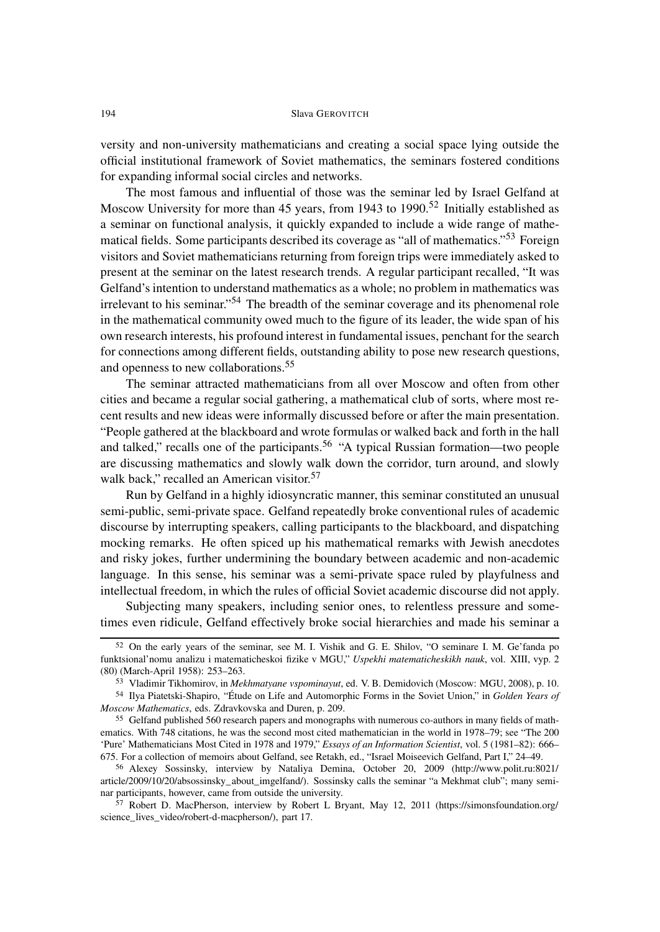versity and non-university mathematicians and creating a social space lying outside the official institutional framework of Soviet mathematics, the seminars fostered conditions for expanding informal social circles and networks.

The most famous and influential of those was the seminar led by Israel Gelfand at Moscow University for more than 45 years, from 1943 to 1990.<sup>52</sup> Initially established as a seminar on functional analysis, it quickly expanded to include a wide range of mathematical fields. Some participants described its coverage as "all of mathematics."<sup>53</sup> Foreign visitors and Soviet mathematicians returning from foreign trips were immediately asked to present at the seminar on the latest research trends. A regular participant recalled, "It was Gelfand's intention to understand mathematics as a whole; no problem in mathematics was irrelevant to his seminar."<sup>54</sup> The breadth of the seminar coverage and its phenomenal role in the mathematical community owed much to the figure of its leader, the wide span of his own research interests, his profound interest in fundamental issues, penchant for the search for connections among different fields, outstanding ability to pose new research questions, and openness to new collaborations.<sup>55</sup>

The seminar attracted mathematicians from all over Moscow and often from other cities and became a regular social gathering, a mathematical club of sorts, where most recent results and new ideas were informally discussed before or after the main presentation. "People gathered at the blackboard and wrote formulas or walked back and forth in the hall and talked," recalls one of the participants.<sup>56</sup> "A typical Russian formation—two people are discussing mathematics and slowly walk down the corridor, turn around, and slowly walk back," recalled an American visitor.<sup>57</sup>

Run by Gelfand in a highly idiosyncratic manner, this seminar constituted an unusual semi-public, semi-private space. Gelfand repeatedly broke conventional rules of academic discourse by interrupting speakers, calling participants to the blackboard, and dispatching mocking remarks. He often spiced up his mathematical remarks with Jewish anecdotes and risky jokes, further undermining the boundary between academic and non-academic language. In this sense, his seminar was a semi-private space ruled by playfulness and intellectual freedom, in which the rules of official Soviet academic discourse did not apply.

Subjecting many speakers, including senior ones, to relentless pressure and sometimes even ridicule, Gelfand effectively broke social hierarchies and made his seminar a

<sup>52</sup> On the early years of the seminar, see M. I. Vishik and G. E. Shilov, "O seminare I. M. Ge'fanda po funktsional'nomu analizu i matematicheskoi fizike v MGU," *Uspekhi matematicheskikh nauk*, vol. XIII, vyp. 2 (80) (March-April 1958): 253–263.

<sup>53</sup> Vladimir Tikhomirov, in *Mekhmatyane vspominayut*, ed. V. B. Demidovich (Moscow: MGU, 2008), p. 10.

<sup>54</sup> Ilya Piatetski-Shapiro, "Étude on Life and Automorphic Forms in the Soviet Union," in *Golden Years of Moscow Mathematics*, eds. Zdravkovska and Duren, p. 209.

<sup>55</sup> Gelfand published 560 research papers and monographs with numerous co-authors in many fields of mathematics. With 748 citations, he was the second most cited mathematician in the world in 1978–79; see "The 200 'Pure' Mathematicians Most Cited in 1978 and 1979," *Essays of an Information Scientist*, vol. 5 (1981–82): 666– 675. For a collection of memoirs about Gelfand, see Retakh, ed., "Israel Moiseevich Gelfand, Part I," 24–49.

<sup>56</sup> Alexey Sossinsky, interview by Nataliya Demina, October 20, 2009 (http://www.polit.ru:8021/ article/2009/10/20/absossinsky\_about\_imgelfand/). Sossinsky calls the seminar "a Mekhmat club"; many seminar participants, however, came from outside the university.

<sup>57</sup> Robert D. MacPherson, interview by Robert L Bryant, May 12, 2011 (https://simonsfoundation.org/ science lives video/robert-d-macpherson/), part 17.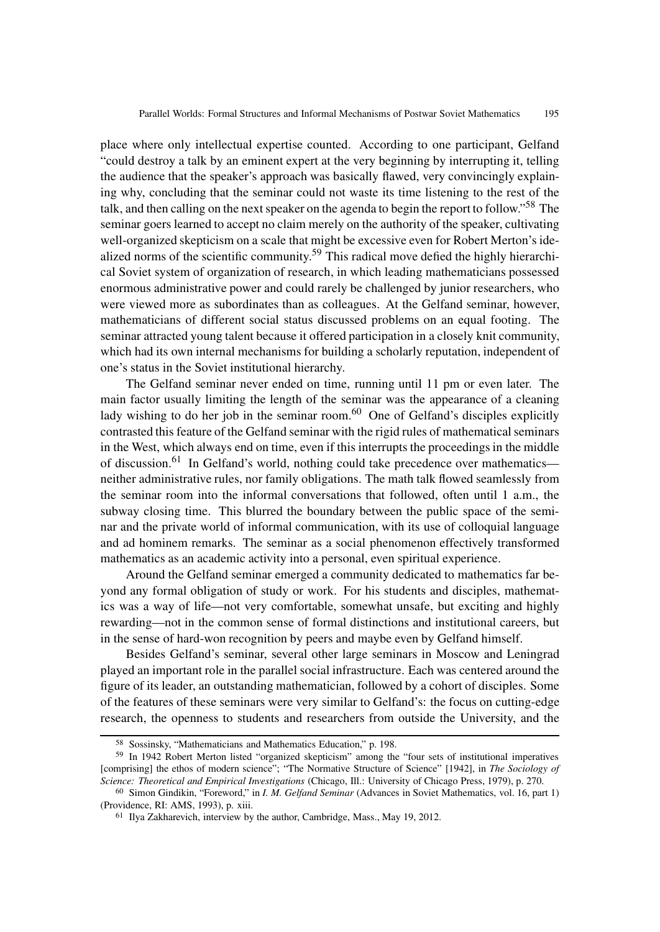place where only intellectual expertise counted. According to one participant, Gelfand "could destroy a talk by an eminent expert at the very beginning by interrupting it, telling the audience that the speaker's approach was basically flawed, very convincingly explaining why, concluding that the seminar could not waste its time listening to the rest of the talk, and then calling on the next speaker on the agenda to begin the report to follow."<sup>58</sup> The seminar goers learned to accept no claim merely on the authority of the speaker, cultivating well-organized skepticism on a scale that might be excessive even for Robert Merton's idealized norms of the scientific community.<sup>59</sup> This radical move defied the highly hierarchical Soviet system of organization of research, in which leading mathematicians possessed enormous administrative power and could rarely be challenged by junior researchers, who were viewed more as subordinates than as colleagues. At the Gelfand seminar, however, mathematicians of different social status discussed problems on an equal footing. The seminar attracted young talent because it offered participation in a closely knit community, which had its own internal mechanisms for building a scholarly reputation, independent of one's status in the Soviet institutional hierarchy.

The Gelfand seminar never ended on time, running until 11 pm or even later. The main factor usually limiting the length of the seminar was the appearance of a cleaning lady wishing to do her job in the seminar room. $60$  One of Gelfand's disciples explicitly contrasted this feature of the Gelfand seminar with the rigid rules of mathematical seminars in the West, which always end on time, even if this interrupts the proceedings in the middle of discussion.<sup>61</sup> In Gelfand's world, nothing could take precedence over mathematics neither administrative rules, nor family obligations. The math talk flowed seamlessly from the seminar room into the informal conversations that followed, often until 1 a.m., the subway closing time. This blurred the boundary between the public space of the seminar and the private world of informal communication, with its use of colloquial language and ad hominem remarks. The seminar as a social phenomenon effectively transformed mathematics as an academic activity into a personal, even spiritual experience.

Around the Gelfand seminar emerged a community dedicated to mathematics far beyond any formal obligation of study or work. For his students and disciples, mathematics was a way of life—not very comfortable, somewhat unsafe, but exciting and highly rewarding—not in the common sense of formal distinctions and institutional careers, but in the sense of hard-won recognition by peers and maybe even by Gelfand himself.

Besides Gelfand's seminar, several other large seminars in Moscow and Leningrad played an important role in the parallel social infrastructure. Each was centered around the figure of its leader, an outstanding mathematician, followed by a cohort of disciples. Some of the features of these seminars were very similar to Gelfand's: the focus on cutting-edge research, the openness to students and researchers from outside the University, and the

<sup>58</sup> Sossinsky, "Mathematicians and Mathematics Education," p. 198.

<sup>59</sup> In 1942 Robert Merton listed "organized skepticism" among the "four sets of institutional imperatives [comprising] the ethos of modern science"; "The Normative Structure of Science" [1942], in *The Sociology of Science: Theoretical and Empirical Investigations* (Chicago, Ill.: University of Chicago Press, 1979), p. 270.

<sup>60</sup> Simon Gindikin, "Foreword," in *I. M. Gelfand Seminar* (Advances in Soviet Mathematics, vol. 16, part 1) (Providence, RI: AMS, 1993), p. xiii.

<sup>61</sup> Ilya Zakharevich, interview by the author, Cambridge, Mass., May 19, 2012.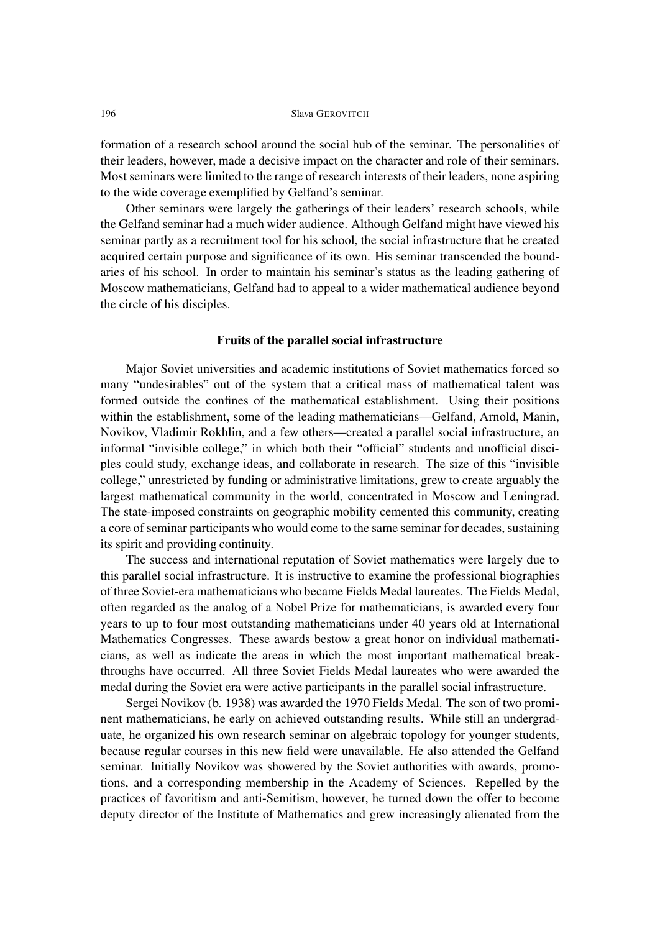formation of a research school around the social hub of the seminar. The personalities of their leaders, however, made a decisive impact on the character and role of their seminars. Most seminars were limited to the range of research interests of their leaders, none aspiring to the wide coverage exemplified by Gelfand's seminar.

Other seminars were largely the gatherings of their leaders' research schools, while the Gelfand seminar had a much wider audience. Although Gelfand might have viewed his seminar partly as a recruitment tool for his school, the social infrastructure that he created acquired certain purpose and significance of its own. His seminar transcended the boundaries of his school. In order to maintain his seminar's status as the leading gathering of Moscow mathematicians, Gelfand had to appeal to a wider mathematical audience beyond the circle of his disciples.

## **Fruits of the parallel social infrastructure**

Major Soviet universities and academic institutions of Soviet mathematics forced so many "undesirables" out of the system that a critical mass of mathematical talent was formed outside the confines of the mathematical establishment. Using their positions within the establishment, some of the leading mathematicians—Gelfand, Arnold, Manin, Novikov, Vladimir Rokhlin, and a few others—created a parallel social infrastructure, an informal "invisible college," in which both their "official" students and unofficial disciples could study, exchange ideas, and collaborate in research. The size of this "invisible college," unrestricted by funding or administrative limitations, grew to create arguably the largest mathematical community in the world, concentrated in Moscow and Leningrad. The state-imposed constraints on geographic mobility cemented this community, creating a core of seminar participants who would come to the same seminar for decades, sustaining its spirit and providing continuity.

The success and international reputation of Soviet mathematics were largely due to this parallel social infrastructure. It is instructive to examine the professional biographies of three Soviet-era mathematicians who became Fields Medal laureates. The Fields Medal, often regarded as the analog of a Nobel Prize for mathematicians, is awarded every four years to up to four most outstanding mathematicians under 40 years old at International Mathematics Congresses. These awards bestow a great honor on individual mathematicians, as well as indicate the areas in which the most important mathematical breakthroughs have occurred. All three Soviet Fields Medal laureates who were awarded the medal during the Soviet era were active participants in the parallel social infrastructure.

Sergei Novikov (b. 1938) was awarded the 1970 Fields Medal. The son of two prominent mathematicians, he early on achieved outstanding results. While still an undergraduate, he organized his own research seminar on algebraic topology for younger students, because regular courses in this new field were unavailable. He also attended the Gelfand seminar. Initially Novikov was showered by the Soviet authorities with awards, promotions, and a corresponding membership in the Academy of Sciences. Repelled by the practices of favoritism and anti-Semitism, however, he turned down the offer to become deputy director of the Institute of Mathematics and grew increasingly alienated from the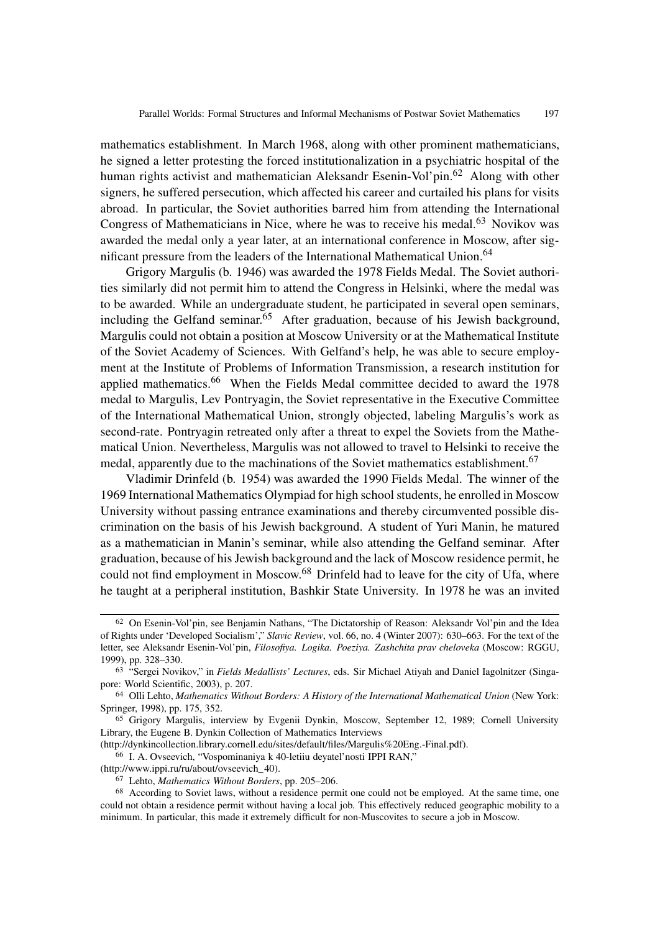mathematics establishment. In March 1968, along with other prominent mathematicians, he signed a letter protesting the forced institutionalization in a psychiatric hospital of the human rights activist and mathematician Aleksandr Esenin-Vol'pin.<sup>62</sup> Along with other signers, he suffered persecution, which affected his career and curtailed his plans for visits abroad. In particular, the Soviet authorities barred him from attending the International Congress of Mathematicians in Nice, where he was to receive his medal.<sup>63</sup> Novikov was awarded the medal only a year later, at an international conference in Moscow, after significant pressure from the leaders of the International Mathematical Union.<sup>64</sup>

Grigory Margulis (b. 1946) was awarded the 1978 Fields Medal. The Soviet authorities similarly did not permit him to attend the Congress in Helsinki, where the medal was to be awarded. While an undergraduate student, he participated in several open seminars, including the Gelfand seminar.<sup>65</sup> After graduation, because of his Jewish background, Margulis could not obtain a position at Moscow University or at the Mathematical Institute of the Soviet Academy of Sciences. With Gelfand's help, he was able to secure employment at the Institute of Problems of Information Transmission, a research institution for applied mathematics.<sup>66</sup> When the Fields Medal committee decided to award the 1978 medal to Margulis, Lev Pontryagin, the Soviet representative in the Executive Committee of the International Mathematical Union, strongly objected, labeling Margulis's work as second-rate. Pontryagin retreated only after a threat to expel the Soviets from the Mathematical Union. Nevertheless, Margulis was not allowed to travel to Helsinki to receive the medal, apparently due to the machinations of the Soviet mathematics establishment.<sup>67</sup>

Vladimir Drinfeld (b. 1954) was awarded the 1990 Fields Medal. The winner of the 1969 International Mathematics Olympiad for high school students, he enrolled in Moscow University without passing entrance examinations and thereby circumvented possible discrimination on the basis of his Jewish background. A student of Yuri Manin, he matured as a mathematician in Manin's seminar, while also attending the Gelfand seminar. After graduation, because of his Jewish background and the lack of Moscow residence permit, he could not find employment in Moscow.<sup>68</sup> Drinfeld had to leave for the city of Ufa, where he taught at a peripheral institution, Bashkir State University. In 1978 he was an invited

(http://dynkincollection.library.cornell.edu/sites/default/files/Margulis%20Eng.-Final.pdf).

<sup>62</sup> On Esenin-Vol'pin, see Benjamin Nathans, "The Dictatorship of Reason: Aleksandr Vol'pin and the Idea of Rights under 'Developed Socialism'," *Slavic Review*, vol. 66, no. 4 (Winter 2007): 630–663. For the text of the letter, see Aleksandr Esenin-Vol'pin, *Filosofiya. Logika. Poeziya. Zashchita prav cheloveka* (Moscow: RGGU, 1999), pp. 328–330.

<sup>63</sup> "Sergei Novikov," in *Fields Medallists' Lectures*, eds. Sir Michael Atiyah and Daniel Iagolnitzer (Singapore: World Scientific, 2003), p. 207.

<sup>64</sup> Olli Lehto, *Mathematics Without Borders: A History of the International Mathematical Union* (New York: Springer, 1998), pp. 175, 352.

<sup>65</sup> Grigory Margulis, interview by Evgenii Dynkin, Moscow, September 12, 1989; Cornell University Library, the Eugene B. Dynkin Collection of Mathematics Interviews

<sup>66</sup> I. A. Ovseevich, "Vospominaniya k 40-letiiu deyatel'nosti IPPI RAN,"

<sup>(</sup>http://www.ippi.ru/ru/about/ovseevich\_40).

<sup>67</sup> Lehto, *Mathematics Without Borders*, pp. 205–206.

<sup>&</sup>lt;sup>68</sup> According to Soviet laws, without a residence permit one could not be employed. At the same time, one could not obtain a residence permit without having a local job. This effectively reduced geographic mobility to a minimum. In particular, this made it extremely difficult for non-Muscovites to secure a job in Moscow.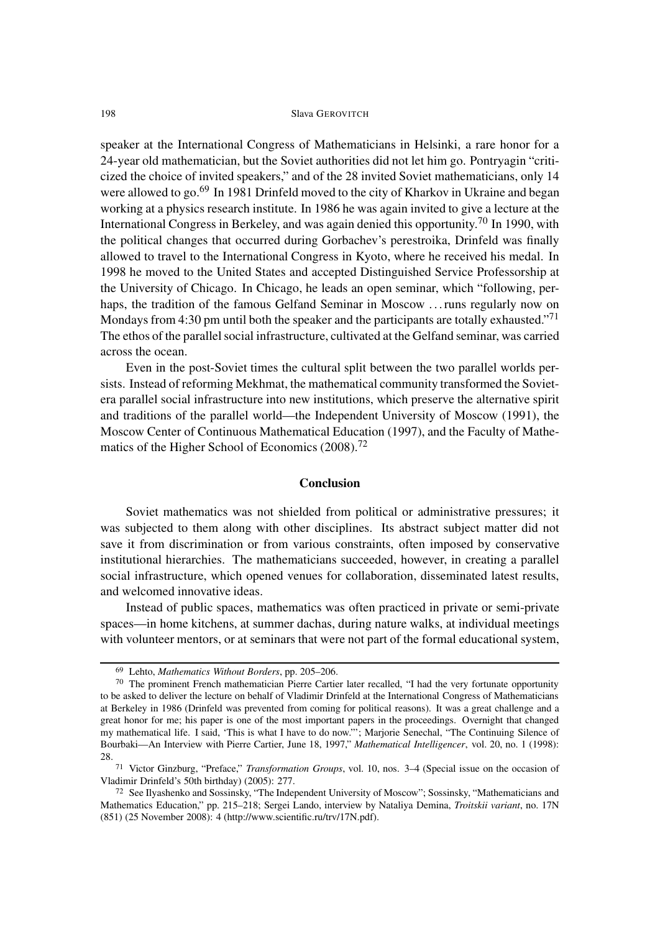speaker at the International Congress of Mathematicians in Helsinki, a rare honor for a 24-year old mathematician, but the Soviet authorities did not let him go. Pontryagin "criticized the choice of invited speakers," and of the 28 invited Soviet mathematicians, only 14 were allowed to go.<sup>69</sup> In 1981 Drinfeld moved to the city of Kharkov in Ukraine and began working at a physics research institute. In 1986 he was again invited to give a lecture at the International Congress in Berkeley, and was again denied this opportunity.<sup>70</sup> In 1990, with the political changes that occurred during Gorbachev's perestroika, Drinfeld was finally allowed to travel to the International Congress in Kyoto, where he received his medal. In 1998 he moved to the United States and accepted Distinguished Service Professorship at the University of Chicago. In Chicago, he leads an open seminar, which "following, perhaps, the tradition of the famous Gelfand Seminar in Moscow ... runs regularly now on Mondays from 4:30 pm until both the speaker and the participants are totally exhausted."<sup>71</sup> The ethos of the parallel social infrastructure, cultivated at the Gelfand seminar, was carried across the ocean.

Even in the post-Soviet times the cultural split between the two parallel worlds persists. Instead of reforming Mekhmat, the mathematical community transformed the Sovietera parallel social infrastructure into new institutions, which preserve the alternative spirit and traditions of the parallel world—the Independent University of Moscow (1991), the Moscow Center of Continuous Mathematical Education (1997), and the Faculty of Mathematics of the Higher School of Economics (2008).<sup>72</sup>

#### **Conclusion**

Soviet mathematics was not shielded from political or administrative pressures; it was subjected to them along with other disciplines. Its abstract subject matter did not save it from discrimination or from various constraints, often imposed by conservative institutional hierarchies. The mathematicians succeeded, however, in creating a parallel social infrastructure, which opened venues for collaboration, disseminated latest results, and welcomed innovative ideas.

Instead of public spaces, mathematics was often practiced in private or semi-private spaces—in home kitchens, at summer dachas, during nature walks, at individual meetings with volunteer mentors, or at seminars that were not part of the formal educational system,

<sup>69</sup> Lehto, *Mathematics Without Borders*, pp. 205–206.

<sup>70</sup> The prominent French mathematician Pierre Cartier later recalled, "I had the very fortunate opportunity to be asked to deliver the lecture on behalf of Vladimir Drinfeld at the International Congress of Mathematicians at Berkeley in 1986 (Drinfeld was prevented from coming for political reasons). It was a great challenge and a great honor for me; his paper is one of the most important papers in the proceedings. Overnight that changed my mathematical life. I said, 'This is what I have to do now."'; Marjorie Senechal, "The Continuing Silence of Bourbaki—An Interview with Pierre Cartier, June 18, 1997," *Mathematical Intelligencer*, vol. 20, no. 1 (1998): 28.

<sup>71</sup> Victor Ginzburg, "Preface," *Transformation Groups*, vol. 10, nos. 3–4 (Special issue on the occasion of Vladimir Drinfeld's 50th birthday) (2005): 277.

<sup>72</sup> See Ilyashenko and Sossinsky, "The Independent University of Moscow"; Sossinsky, "Mathematicians and Mathematics Education," pp. 215–218; Sergei Lando, interview by Nataliya Demina, *Troitskii variant*, no. 17N (851) (25 November 2008): 4 (http://www.scientific.ru/trv/17N.pdf).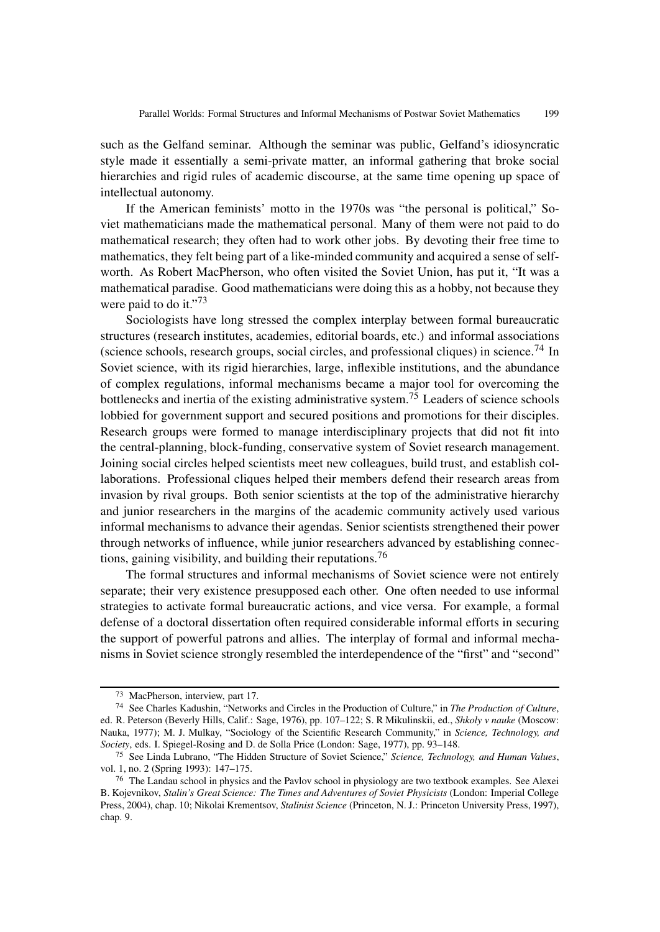such as the Gelfand seminar. Although the seminar was public, Gelfand's idiosyncratic style made it essentially a semi-private matter, an informal gathering that broke social hierarchies and rigid rules of academic discourse, at the same time opening up space of intellectual autonomy.

If the American feminists' motto in the 1970s was "the personal is political," Soviet mathematicians made the mathematical personal. Many of them were not paid to do mathematical research; they often had to work other jobs. By devoting their free time to mathematics, they felt being part of a like-minded community and acquired a sense of selfworth. As Robert MacPherson, who often visited the Soviet Union, has put it, "It was a mathematical paradise. Good mathematicians were doing this as a hobby, not because they were paid to do it."<sup>73</sup>

Sociologists have long stressed the complex interplay between formal bureaucratic structures (research institutes, academies, editorial boards, etc.) and informal associations (science schools, research groups, social circles, and professional cliques) in science.<sup>74</sup> In Soviet science, with its rigid hierarchies, large, inflexible institutions, and the abundance of complex regulations, informal mechanisms became a major tool for overcoming the bottlenecks and inertia of the existing administrative system.<sup>75</sup> Leaders of science schools lobbied for government support and secured positions and promotions for their disciples. Research groups were formed to manage interdisciplinary projects that did not fit into the central-planning, block-funding, conservative system of Soviet research management. Joining social circles helped scientists meet new colleagues, build trust, and establish collaborations. Professional cliques helped their members defend their research areas from invasion by rival groups. Both senior scientists at the top of the administrative hierarchy and junior researchers in the margins of the academic community actively used various informal mechanisms to advance their agendas. Senior scientists strengthened their power through networks of influence, while junior researchers advanced by establishing connections, gaining visibility, and building their reputations.<sup>76</sup>

The formal structures and informal mechanisms of Soviet science were not entirely separate; their very existence presupposed each other. One often needed to use informal strategies to activate formal bureaucratic actions, and vice versa. For example, a formal defense of a doctoral dissertation often required considerable informal efforts in securing the support of powerful patrons and allies. The interplay of formal and informal mechanisms in Soviet science strongly resembled the interdependence of the "first" and "second"

<sup>73</sup> MacPherson, interview, part 17.

<sup>74</sup> See Charles Kadushin, "Networks and Circles in the Production of Culture," in *The Production of Culture*, ed. R. Peterson (Beverly Hills, Calif.: Sage, 1976), pp. 107–122; S. R Mikulinskii, ed., *Shkoly v nauke* (Moscow: Nauka, 1977); M. J. Mulkay, "Sociology of the Scientific Research Community," in *Science, Technology, and Society*, eds. I. Spiegel-Rosing and D. de Solla Price (London: Sage, 1977), pp. 93–148.

<sup>75</sup> See Linda Lubrano, "The Hidden Structure of Soviet Science," *Science, Technology, and Human Values*, vol. 1, no. 2 (Spring 1993): 147–175.

<sup>76</sup> The Landau school in physics and the Pavlov school in physiology are two textbook examples. See Alexei B. Kojevnikov, *Stalin's Great Science: The Times and Adventures of Soviet Physicists* (London: Imperial College Press, 2004), chap. 10; Nikolai Krementsov, *Stalinist Science* (Princeton, N. J.: Princeton University Press, 1997), chap. 9.